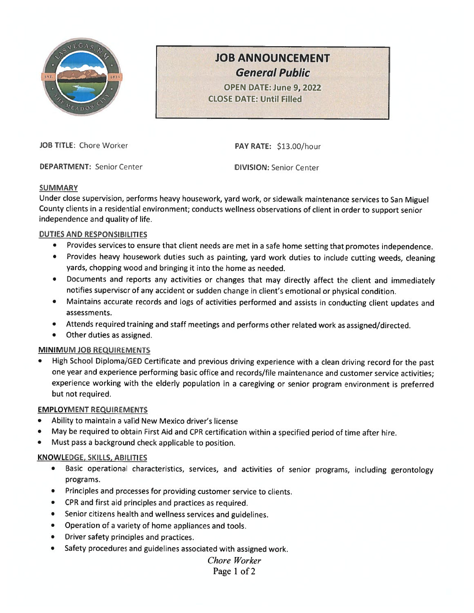

# JOB ANNOUNCEMENT General Public

OPEN DATE: June 9, 2022 CLOSE DATE: Until Filled

JOB TITLE: Chore Worker PAY RATE: \$13.00/hour

DEPARTMENT: Senior Center DIVISION: Senior Center

#### **SUMMARY**

Under close supervision, performs heavy housework, yard work, or sidewalk maintenance services to San Miguel County clients in <sup>a</sup> residential environment; conducts wellness observations of client in order to support senior independence and quality of life.

## DUTIES AND RESPONSIBILITIES

- •Provides services to ensure that client needs are met in <sup>a</sup> safe home setting that promotes independence.
- Provides heavy housework duties such as painting, yar<sup>d</sup> work duties to include cutting weeds, cleaning yards, chopping wood and bringing it into the home as needed.
- • Documents and reports any activities or changes that may directly affect the client and immediately notifies supervisor of any accident or sudden change in client's emotional or <sup>p</sup>hysical condition.
- • Maintains accurate records and logs of activities performed and assists in conducting client updates and assessments.
- •Attends required training and staff meetings and performs other related work as assigned/directed.
- Other duties as assigned.

#### MINIMUM JOB REQUIREMENTS

• High School Diploma/GED Certificate and previous driving experience with <sup>a</sup> clean driving record for the past one year and experience performing basic office and records/file maintenance and customer service activities; experience working with the elderly population in <sup>a</sup> caregiving or senior program environment is preferred but not required.

#### EMPLOYMENT REQUIREMENTS

- •Ability to maintain <sup>a</sup> valid New Mexico driver's license
- May be required to obtain First Aid and CPR certification within <sup>a</sup> specified period of time after hire.
- Must pass <sup>a</sup> background check applicable to position.

#### KNOWLEDGE, SKILLS, ABILITIES

- • Basic operational characteristics, services, and activities of senior programs, including gerontology programs.
- Principles and processes for providing customer service to clients.
- CPR and first aid principles and practices as required.
- Senior citizens health and wellness services and guidelines.
- •Operation of <sup>a</sup> variety of home appliances and tools.
- •Driver safety principles and practices.
- •Safety procedures and guidelines associated with assigned work.

## Chore Worker Page 1 of 2